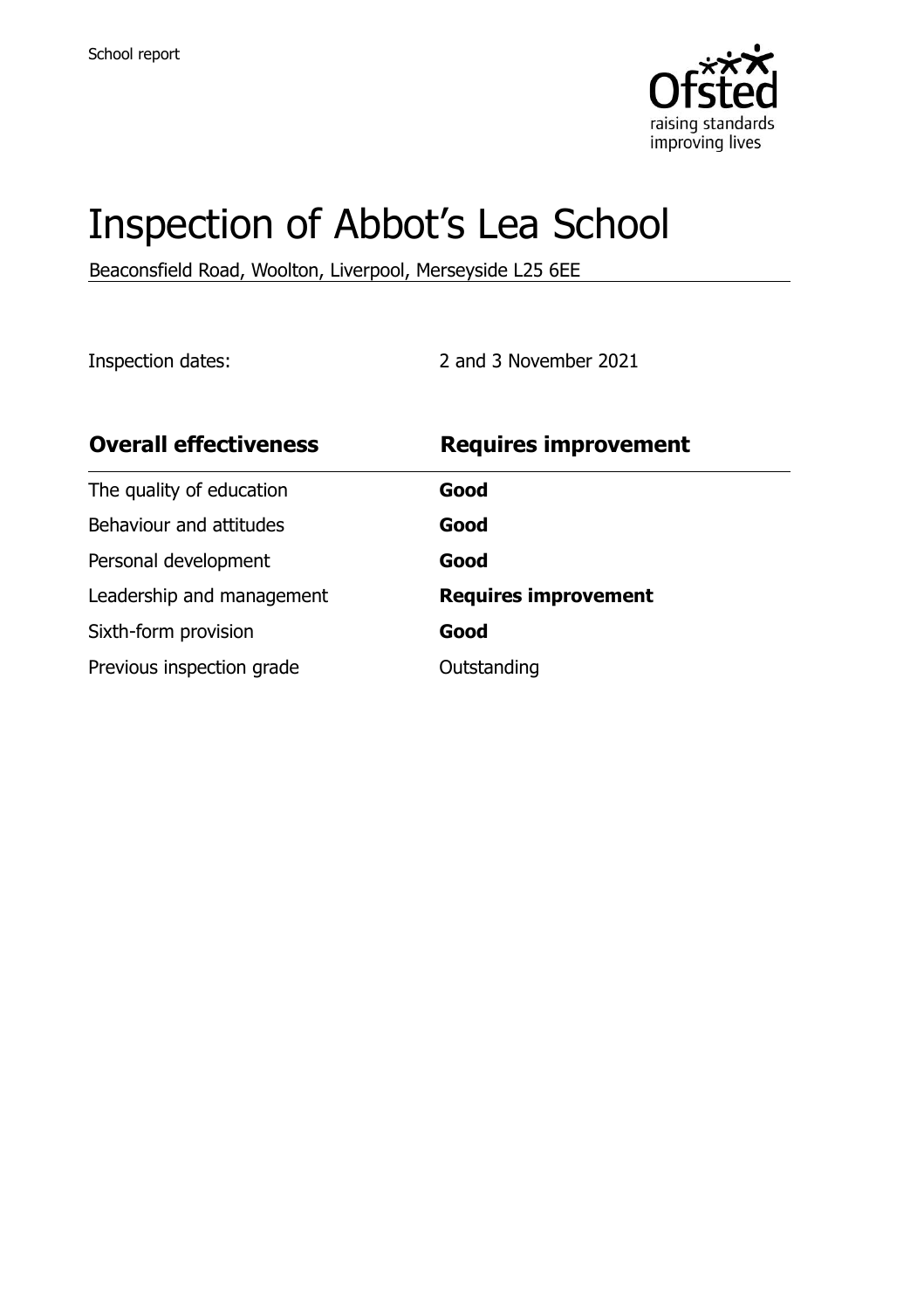

# Inspection of Abbot's Lea School

Beaconsfield Road, Woolton, Liverpool, Merseyside L25 6EE

Inspection dates: 2 and 3 November 2021

| <b>Overall effectiveness</b> | <b>Requires improvement</b> |
|------------------------------|-----------------------------|
| The quality of education     | Good                        |
| Behaviour and attitudes      | Good                        |
| Personal development         | Good                        |
| Leadership and management    | <b>Requires improvement</b> |
| Sixth-form provision         | Good                        |
| Previous inspection grade    | Outstanding                 |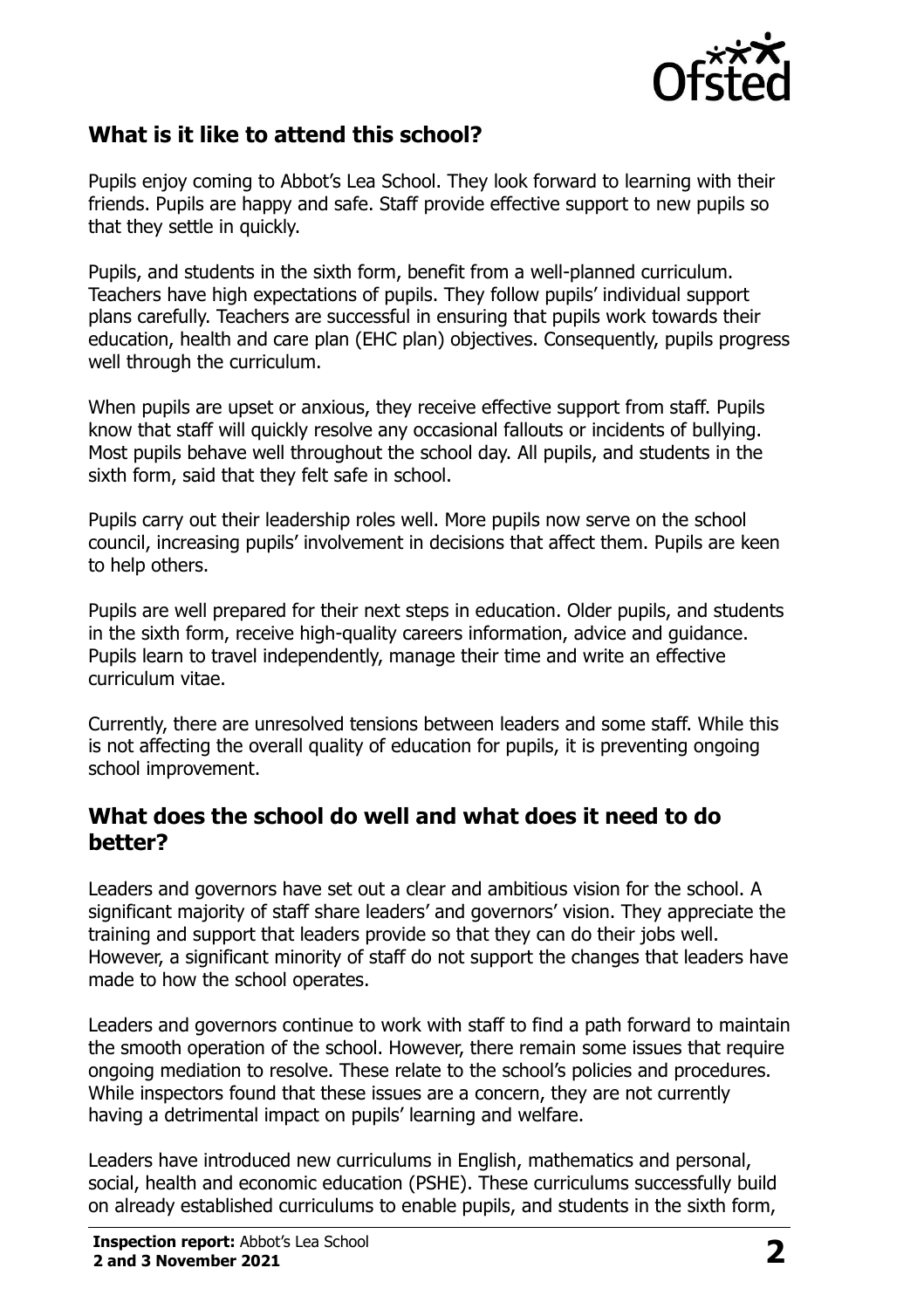

# **What is it like to attend this school?**

Pupils enjoy coming to Abbot's Lea School. They look forward to learning with their friends. Pupils are happy and safe. Staff provide effective support to new pupils so that they settle in quickly.

Pupils, and students in the sixth form, benefit from a well-planned curriculum. Teachers have high expectations of pupils. They follow pupils' individual support plans carefully. Teachers are successful in ensuring that pupils work towards their education, health and care plan (EHC plan) objectives. Consequently, pupils progress well through the curriculum.

When pupils are upset or anxious, they receive effective support from staff. Pupils know that staff will quickly resolve any occasional fallouts or incidents of bullying. Most pupils behave well throughout the school day. All pupils, and students in the sixth form, said that they felt safe in school.

Pupils carry out their leadership roles well. More pupils now serve on the school council, increasing pupils' involvement in decisions that affect them. Pupils are keen to help others.

Pupils are well prepared for their next steps in education. Older pupils, and students in the sixth form, receive high-quality careers information, advice and guidance. Pupils learn to travel independently, manage their time and write an effective curriculum vitae.

Currently, there are unresolved tensions between leaders and some staff. While this is not affecting the overall quality of education for pupils, it is preventing ongoing school improvement.

#### **What does the school do well and what does it need to do better?**

Leaders and governors have set out a clear and ambitious vision for the school. A significant majority of staff share leaders' and governors' vision. They appreciate the training and support that leaders provide so that they can do their jobs well. However, a significant minority of staff do not support the changes that leaders have made to how the school operates.

Leaders and governors continue to work with staff to find a path forward to maintain the smooth operation of the school. However, there remain some issues that require ongoing mediation to resolve. These relate to the school's policies and procedures. While inspectors found that these issues are a concern, they are not currently having a detrimental impact on pupils' learning and welfare.

Leaders have introduced new curriculums in English, mathematics and personal, social, health and economic education (PSHE). These curriculums successfully build on already established curriculums to enable pupils, and students in the sixth form,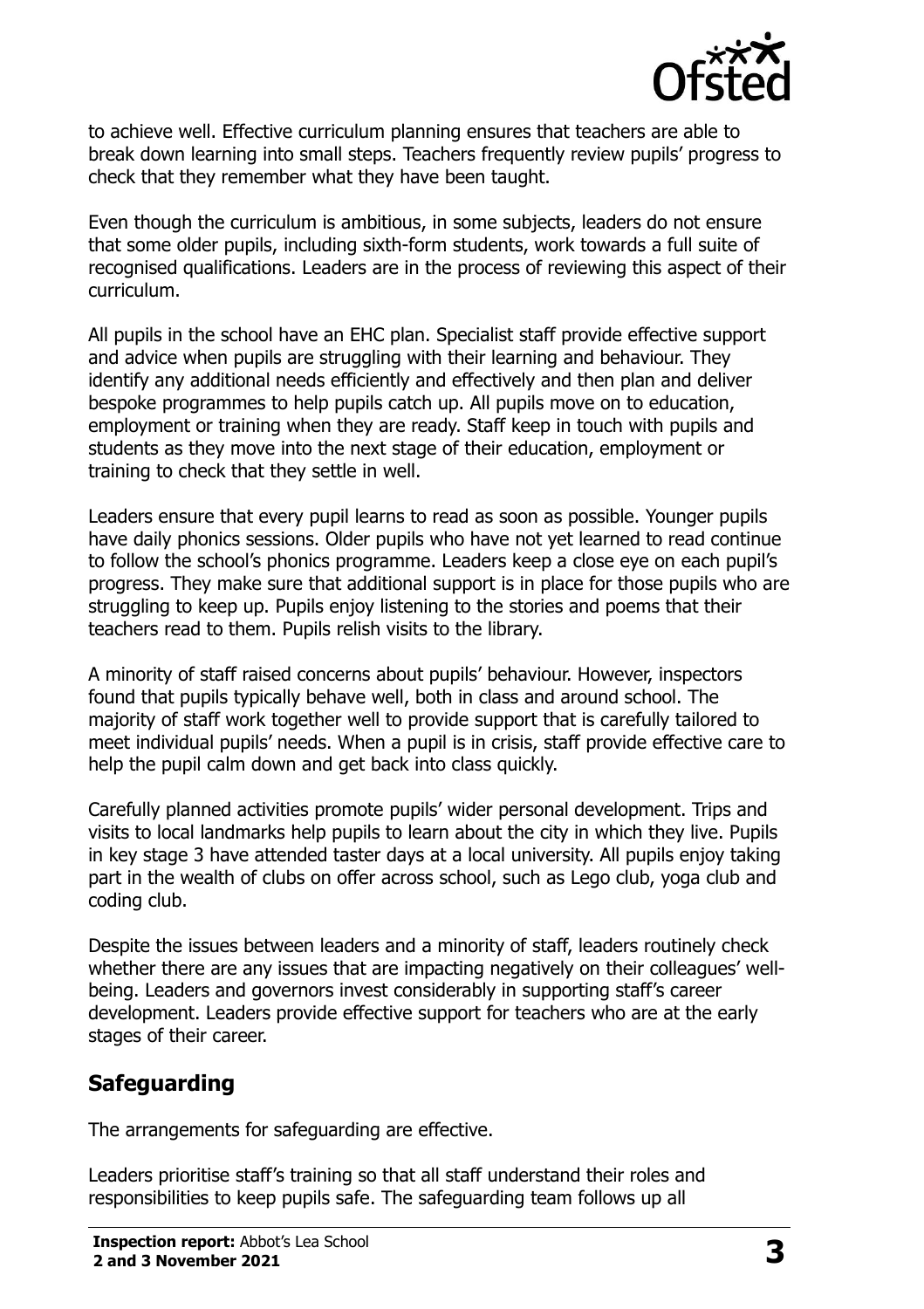

to achieve well. Effective curriculum planning ensures that teachers are able to break down learning into small steps. Teachers frequently review pupils' progress to check that they remember what they have been taught.

Even though the curriculum is ambitious, in some subjects, leaders do not ensure that some older pupils, including sixth-form students, work towards a full suite of recognised qualifications. Leaders are in the process of reviewing this aspect of their curriculum.

All pupils in the school have an EHC plan. Specialist staff provide effective support and advice when pupils are struggling with their learning and behaviour. They identify any additional needs efficiently and effectively and then plan and deliver bespoke programmes to help pupils catch up. All pupils move on to education, employment or training when they are ready. Staff keep in touch with pupils and students as they move into the next stage of their education, employment or training to check that they settle in well.

Leaders ensure that every pupil learns to read as soon as possible. Younger pupils have daily phonics sessions. Older pupils who have not yet learned to read continue to follow the school's phonics programme. Leaders keep a close eye on each pupil's progress. They make sure that additional support is in place for those pupils who are struggling to keep up. Pupils enjoy listening to the stories and poems that their teachers read to them. Pupils relish visits to the library.

A minority of staff raised concerns about pupils' behaviour. However, inspectors found that pupils typically behave well, both in class and around school. The majority of staff work together well to provide support that is carefully tailored to meet individual pupils' needs. When a pupil is in crisis, staff provide effective care to help the pupil calm down and get back into class quickly.

Carefully planned activities promote pupils' wider personal development. Trips and visits to local landmarks help pupils to learn about the city in which they live. Pupils in key stage 3 have attended taster days at a local university. All pupils enjoy taking part in the wealth of clubs on offer across school, such as Lego club, yoga club and coding club.

Despite the issues between leaders and a minority of staff, leaders routinely check whether there are any issues that are impacting negatively on their colleagues' wellbeing. Leaders and governors invest considerably in supporting staff's career development. Leaders provide effective support for teachers who are at the early stages of their career.

# **Safeguarding**

The arrangements for safeguarding are effective.

Leaders prioritise staff's training so that all staff understand their roles and responsibilities to keep pupils safe. The safeguarding team follows up all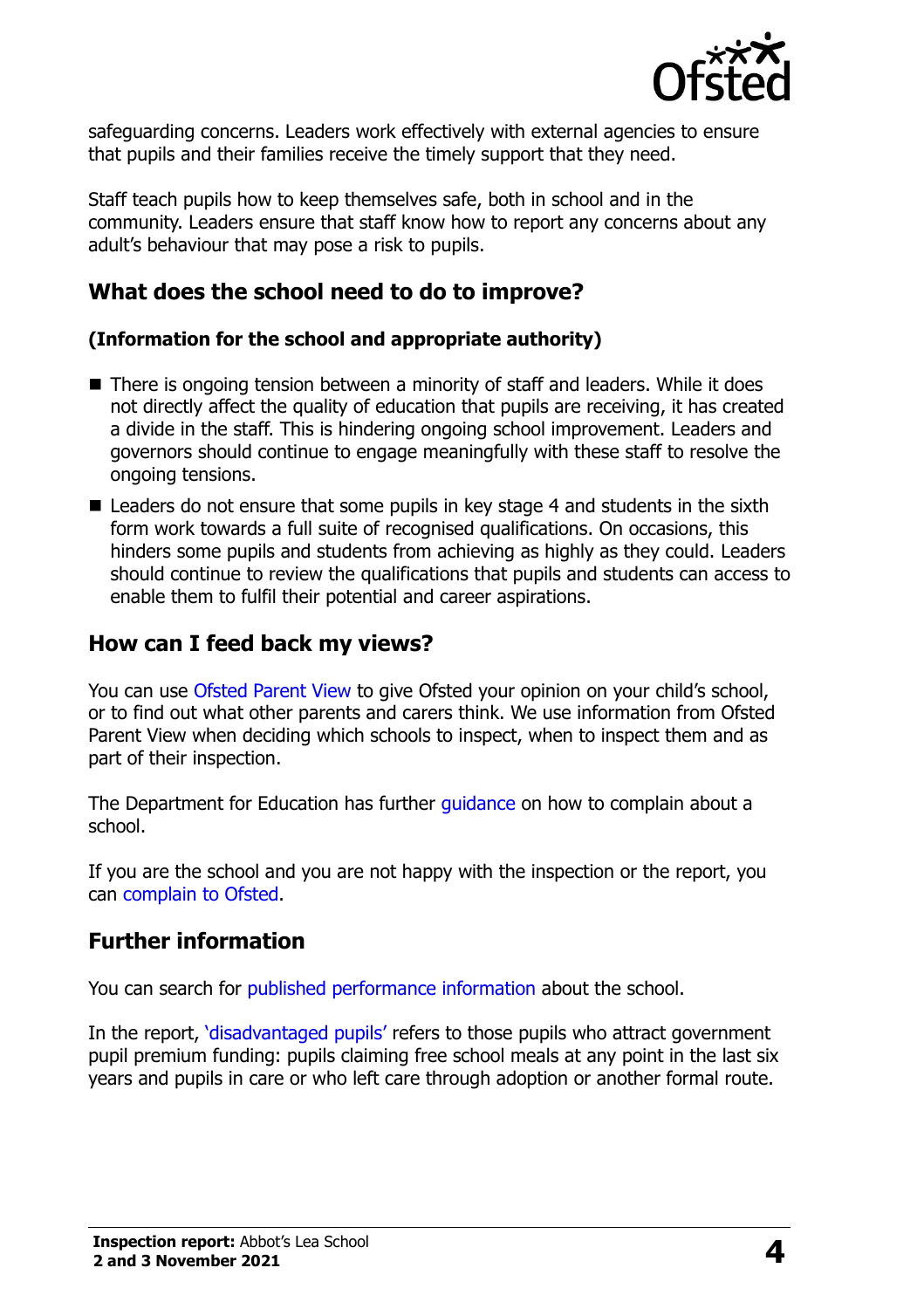

safeguarding concerns. Leaders work effectively with external agencies to ensure that pupils and their families receive the timely support that they need.

Staff teach pupils how to keep themselves safe, both in school and in the community. Leaders ensure that staff know how to report any concerns about any adult's behaviour that may pose a risk to pupils.

# **What does the school need to do to improve?**

#### **(Information for the school and appropriate authority)**

- There is ongoing tension between a minority of staff and leaders. While it does not directly affect the quality of education that pupils are receiving, it has created a divide in the staff. This is hindering ongoing school improvement. Leaders and governors should continue to engage meaningfully with these staff to resolve the ongoing tensions.
- $\blacksquare$  Leaders do not ensure that some pupils in key stage 4 and students in the sixth form work towards a full suite of recognised qualifications. On occasions, this hinders some pupils and students from achieving as highly as they could. Leaders should continue to review the qualifications that pupils and students can access to enable them to fulfil their potential and career aspirations.

#### **How can I feed back my views?**

You can use [Ofsted Parent View](http://parentview.ofsted.gov.uk/) to give Ofsted your opinion on your child's school, or to find out what other parents and carers think. We use information from Ofsted Parent View when deciding which schools to inspect, when to inspect them and as part of their inspection.

The Department for Education has further quidance on how to complain about a school.

If you are the school and you are not happy with the inspection or the report, you can [complain to Ofsted.](http://www.gov.uk/complain-ofsted-report)

# **Further information**

You can search for [published performance information](http://www.compare-school-performance.service.gov.uk/) about the school.

In the report, '[disadvantaged pupils](http://www.gov.uk/guidance/pupil-premium-information-for-schools-and-alternative-provision-settings)' refers to those pupils who attract government pupil premium funding: pupils claiming free school meals at any point in the last six years and pupils in care or who left care through adoption or another formal route.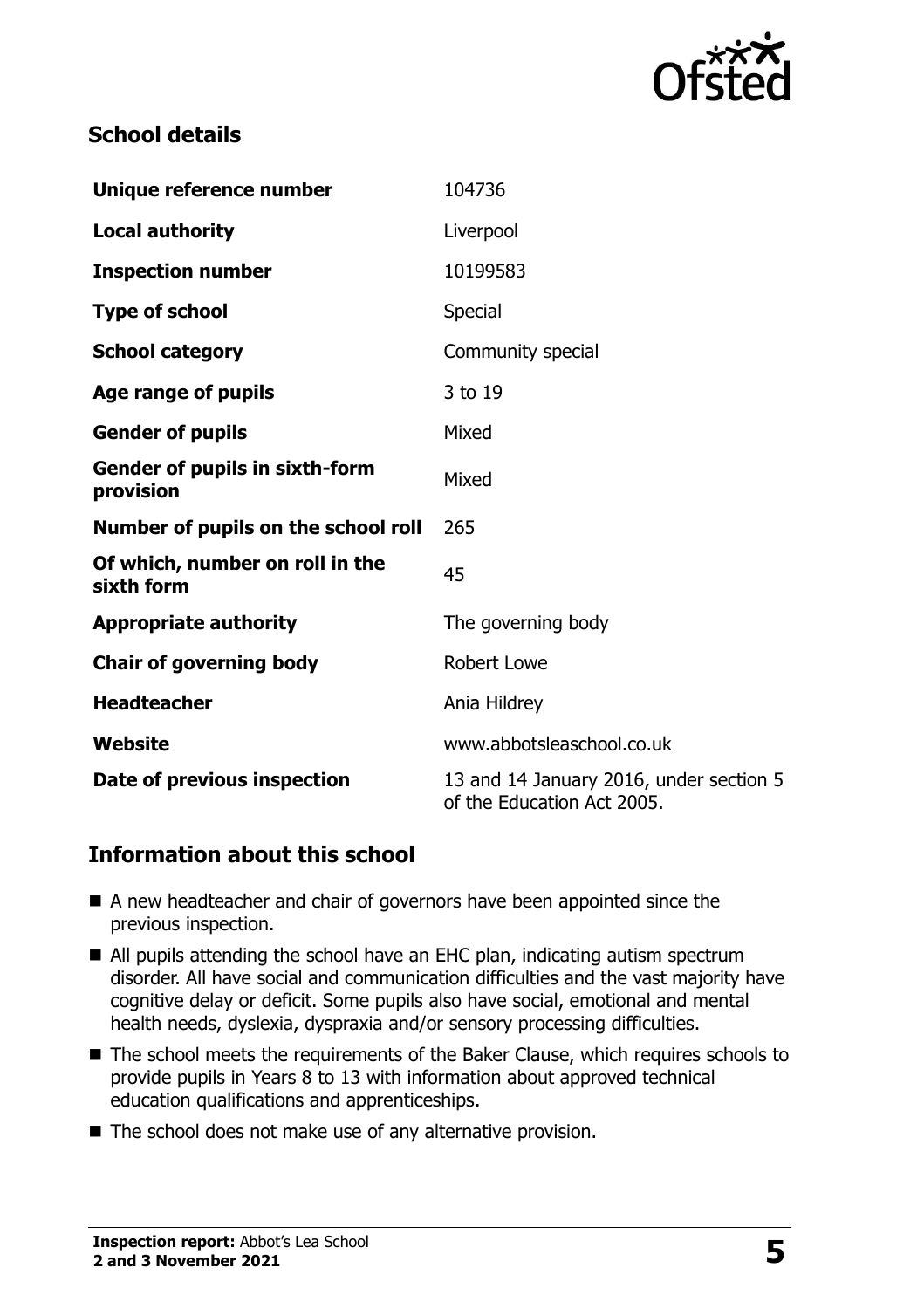

# **School details**

| Unique reference number                            | 104736                                                                |  |
|----------------------------------------------------|-----------------------------------------------------------------------|--|
| <b>Local authority</b>                             | Liverpool                                                             |  |
| <b>Inspection number</b>                           | 10199583                                                              |  |
| <b>Type of school</b>                              | <b>Special</b>                                                        |  |
| <b>School category</b>                             | Community special                                                     |  |
| Age range of pupils                                | 3 to 19                                                               |  |
| <b>Gender of pupils</b>                            | Mixed                                                                 |  |
| <b>Gender of pupils in sixth-form</b><br>provision | Mixed                                                                 |  |
| Number of pupils on the school roll                | 265                                                                   |  |
| Of which, number on roll in the<br>sixth form      | 45                                                                    |  |
| <b>Appropriate authority</b>                       | The governing body                                                    |  |
| <b>Chair of governing body</b>                     | <b>Robert Lowe</b>                                                    |  |
| <b>Headteacher</b>                                 | Ania Hildrey                                                          |  |
| Website                                            | www.abbotsleaschool.co.uk                                             |  |
| Date of previous inspection                        | 13 and 14 January 2016, under section 5<br>of the Education Act 2005. |  |

# **Information about this school**

- A new headteacher and chair of governors have been appointed since the previous inspection.
- All pupils attending the school have an EHC plan, indicating autism spectrum disorder. All have social and communication difficulties and the vast majority have cognitive delay or deficit. Some pupils also have social, emotional and mental health needs, dyslexia, dyspraxia and/or sensory processing difficulties.
- The school meets the requirements of the Baker Clause, which requires schools to provide pupils in Years 8 to 13 with information about approved technical education qualifications and apprenticeships.
- The school does not make use of any alternative provision.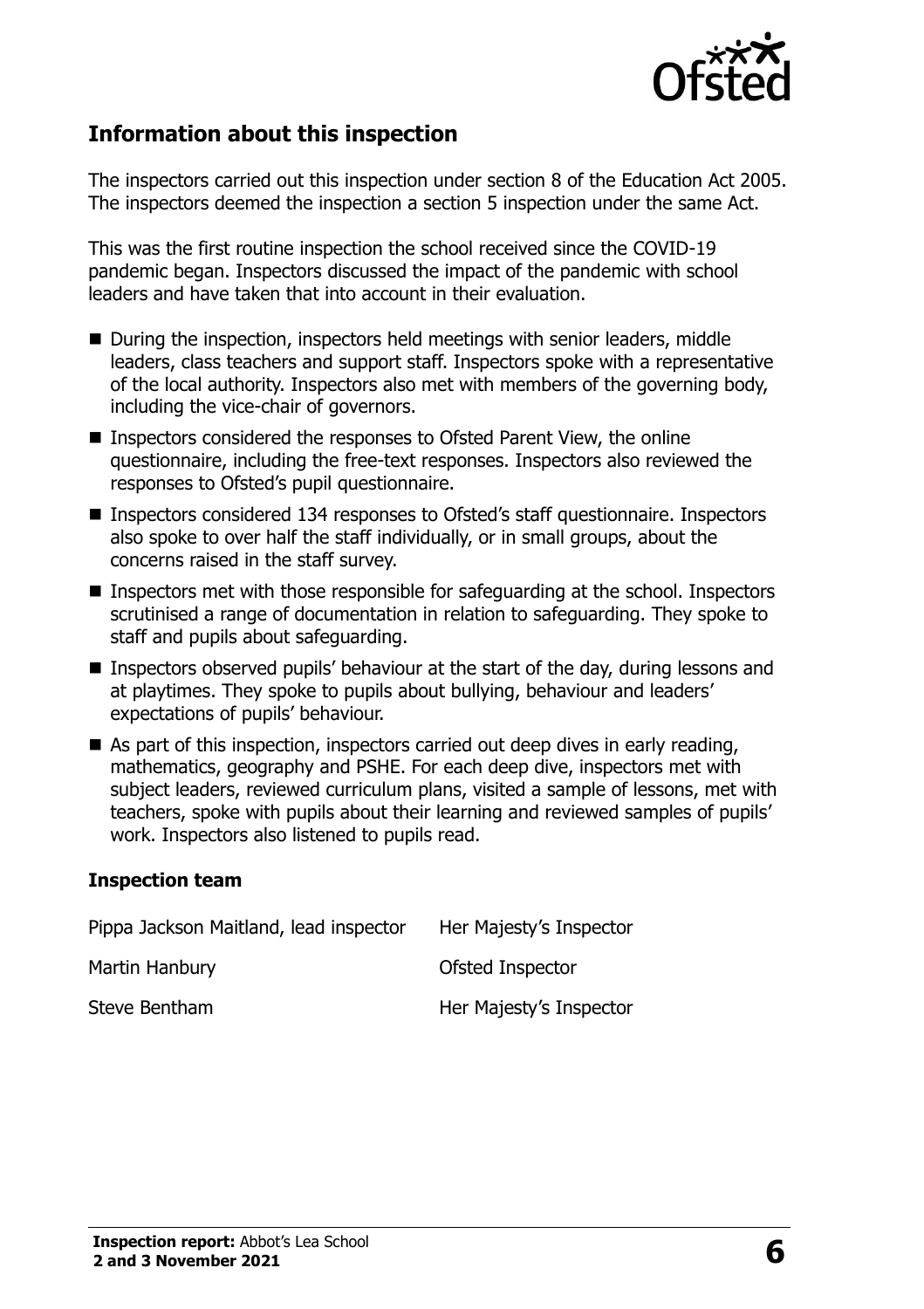

#### **Information about this inspection**

The inspectors carried out this inspection under section 8 of the Education Act 2005. The inspectors deemed the inspection a section 5 inspection under the same Act.

This was the first routine inspection the school received since the COVID-19 pandemic began. Inspectors discussed the impact of the pandemic with school leaders and have taken that into account in their evaluation.

- During the inspection, inspectors held meetings with senior leaders, middle leaders, class teachers and support staff. Inspectors spoke with a representative of the local authority. Inspectors also met with members of the governing body, including the vice-chair of governors.
- Inspectors considered the responses to Ofsted Parent View, the online questionnaire, including the free-text responses. Inspectors also reviewed the responses to Ofsted's pupil questionnaire.
- Inspectors considered 134 responses to Ofsted's staff questionnaire. Inspectors also spoke to over half the staff individually, or in small groups, about the concerns raised in the staff survey.
- Inspectors met with those responsible for safeguarding at the school. Inspectors scrutinised a range of documentation in relation to safeguarding. They spoke to staff and pupils about safeguarding.
- Inspectors observed pupils' behaviour at the start of the day, during lessons and at playtimes. They spoke to pupils about bullying, behaviour and leaders' expectations of pupils' behaviour.
- $\blacksquare$  As part of this inspection, inspectors carried out deep dives in early reading, mathematics, geography and PSHE. For each deep dive, inspectors met with subject leaders, reviewed curriculum plans, visited a sample of lessons, met with teachers, spoke with pupils about their learning and reviewed samples of pupils' work. Inspectors also listened to pupils read.

#### **Inspection team**

| Pippa Jackson Maitland, lead inspector | Her Majesty's Inspector |
|----------------------------------------|-------------------------|
| Martin Hanbury                         | Ofsted Inspector        |
| Steve Bentham                          | Her Majesty's Inspector |